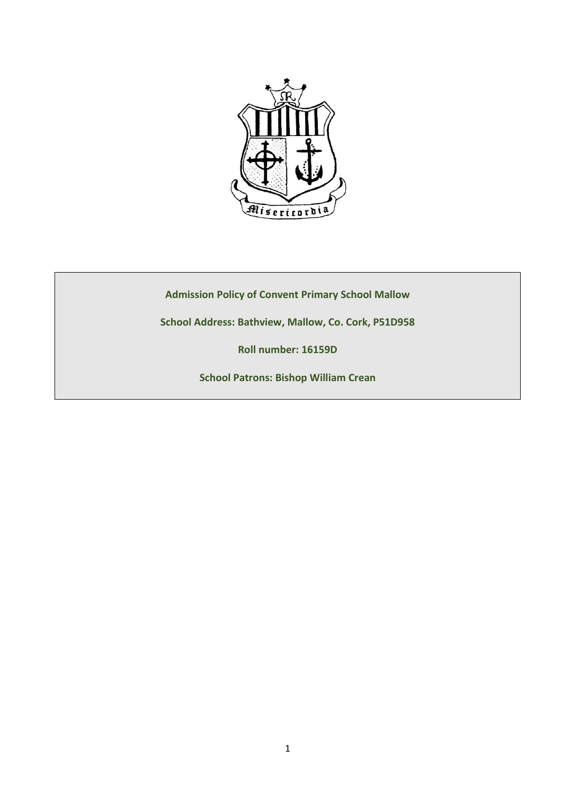

**Admission Policy of Convent Primary School Mallow**

**School Address: Bathview, Mallow, Co. Cork, P51D958**

**Roll number: 16159D**

**School Patrons: Bishop William Crean**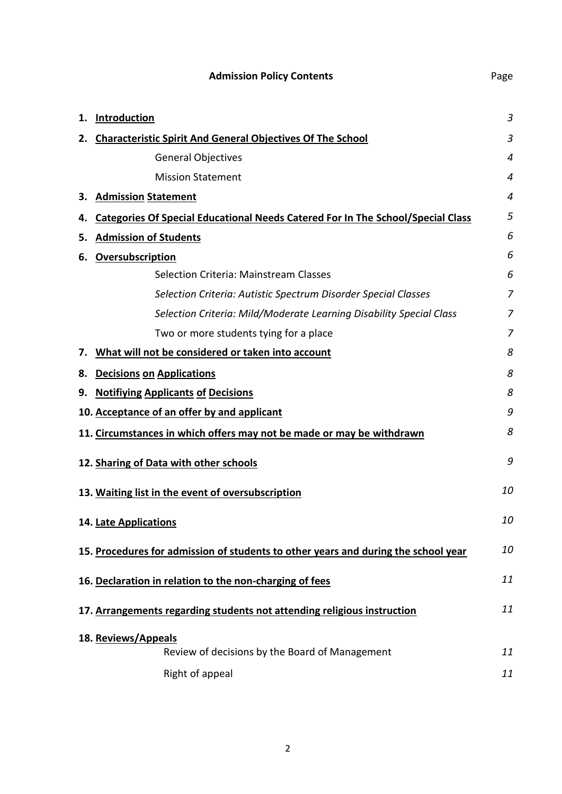| 1. | <b>Introduction</b>                                                                    | 3              |
|----|----------------------------------------------------------------------------------------|----------------|
| 2. | <b>Characteristic Spirit And General Objectives Of The School</b>                      | 3              |
|    | <b>General Objectives</b>                                                              | $\overline{4}$ |
|    | <b>Mission Statement</b>                                                               | 4              |
| З. | <b>Admission Statement</b>                                                             | 4              |
| 4. | <b>Categories Of Special Educational Needs Catered For In The School/Special Class</b> | 5              |
| 5. | <b>Admission of Students</b>                                                           | 6              |
| 6. | Oversubscription                                                                       | 6              |
|    | <b>Selection Criteria: Mainstream Classes</b>                                          | 6              |
|    | Selection Criteria: Autistic Spectrum Disorder Special Classes                         | 7              |
|    | Selection Criteria: Mild/Moderate Learning Disability Special Class                    | 7              |
|    | Two or more students tying for a place                                                 | 7              |
| 7. | What will not be considered or taken into account                                      | 8              |
| 8. | <b>Decisions on Applications</b>                                                       | 8              |
| 9. | <b>Notifiying Applicants of Decisions</b>                                              | 8              |
|    | 10. Acceptance of an offer by and applicant                                            | 9              |
|    | 11. Circumstances in which offers may not be made or may be withdrawn                  | 8              |
|    | 12. Sharing of Data with other schools                                                 | 9              |
|    | 13. Waiting list in the event of oversubscription                                      | 10             |
|    | 14. Late Applications                                                                  | 10             |
|    | 15. Procedures for admission of students to other years and during the school year     | 10             |
|    | 16. Declaration in relation to the non-charging of fees                                | 11             |
|    | 17. Arrangements regarding students not attending religious instruction                | 11             |
|    | 18. Reviews/Appeals                                                                    |                |
|    | Review of decisions by the Board of Management                                         | 11             |
|    | Right of appeal                                                                        | 11             |

**Admission Policy Contents Page**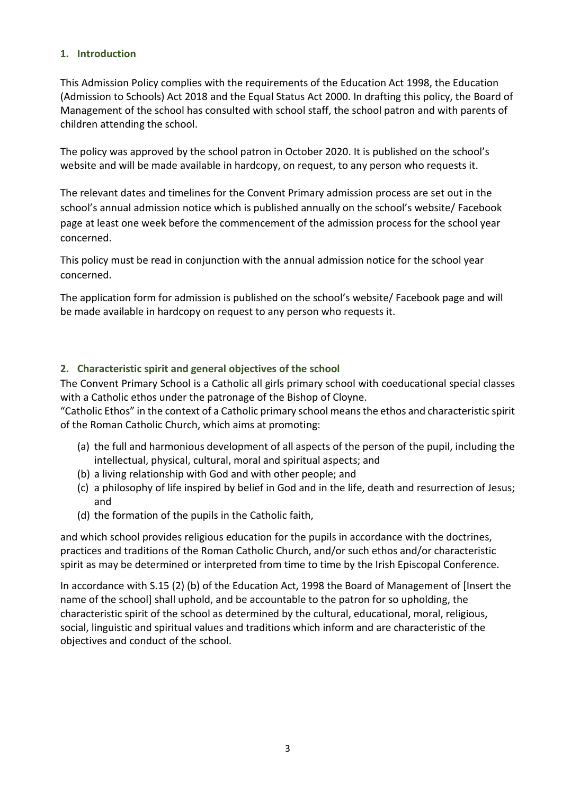## **1. Introduction**

This Admission Policy complies with the requirements of the Education Act 1998, the Education (Admission to Schools) Act 2018 and the Equal Status Act 2000. In drafting this policy, the Board of Management of the school has consulted with school staff, the school patron and with parents of children attending the school.

The policy was approved by the school patron in October 2020. It is published on the school's website and will be made available in hardcopy, on request, to any person who requests it.

The relevant dates and timelines for the Convent Primary admission process are set out in the school's annual admission notice which is published annually on the school's website/ Facebook page at least one week before the commencement of the admission process for the school year concerned.

This policy must be read in conjunction with the annual admission notice for the school year concerned.

The application form for admission is published on the school's website/ Facebook page and will be made available in hardcopy on request to any person who requests it.

# **2. Characteristic spirit and general objectives of the school**

The Convent Primary School is a Catholic all girls primary school with coeducational special classes with a Catholic ethos under the patronage of the Bishop of Cloyne.

"Catholic Ethos" in the context of a Catholic primary school means the ethos and characteristic spirit of the Roman Catholic Church, which aims at promoting:

- (a) the full and harmonious development of all aspects of the person of the pupil, including the intellectual, physical, cultural, moral and spiritual aspects; and
- (b) a living relationship with God and with other people; and
- (c) a philosophy of life inspired by belief in God and in the life, death and resurrection of Jesus; and
- (d) the formation of the pupils in the Catholic faith,

and which school provides religious education for the pupils in accordance with the doctrines, practices and traditions of the Roman Catholic Church, and/or such ethos and/or characteristic spirit as may be determined or interpreted from time to time by the Irish Episcopal Conference.

In accordance with S.15 (2) (b) of the Education Act, 1998 the Board of Management of [Insert the name of the school] shall uphold, and be accountable to the patron for so upholding, the characteristic spirit of the school as determined by the cultural, educational, moral, religious, social, linguistic and spiritual values and traditions which inform and are characteristic of the objectives and conduct of the school.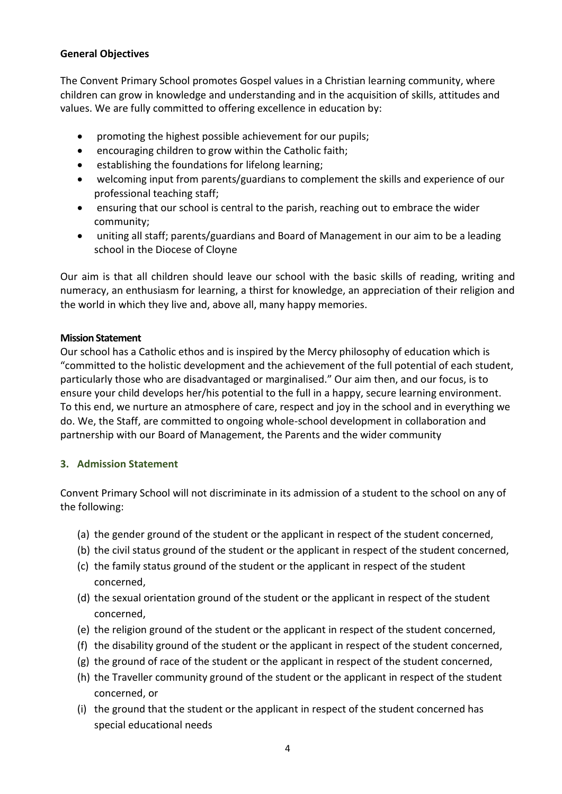# **General Objectives**

The Convent Primary School promotes Gospel values in a Christian learning community, where children can grow in knowledge and understanding and in the acquisition of skills, attitudes and values. We are fully committed to offering excellence in education by:

- promoting the highest possible achievement for our pupils;
- encouraging children to grow within the Catholic faith;
- establishing the foundations for lifelong learning;
- welcoming input from parents/guardians to complement the skills and experience of our professional teaching staff;
- ensuring that our school is central to the parish, reaching out to embrace the wider community;
- uniting all staff; parents/guardians and Board of Management in our aim to be a leading school in the Diocese of Cloyne

Our aim is that all children should leave our school with the basic skills of reading, writing and numeracy, an enthusiasm for learning, a thirst for knowledge, an appreciation of their religion and the world in which they live and, above all, many happy memories.

## **Mission Statement**

Our school has a Catholic ethos and is inspired by the Mercy philosophy of education which is "committed to the holistic development and the achievement of the full potential of each student, particularly those who are disadvantaged or marginalised." Our aim then, and our focus, is to ensure your child develops her/his potential to the full in a happy, secure learning environment. To this end, we nurture an atmosphere of care, respect and joy in the school and in everything we do. We, the Staff, are committed to ongoing whole-school development in collaboration and partnership with our Board of Management, the Parents and the wider community

# **3. Admission Statement**

Convent Primary School will not discriminate in its admission of a student to the school on any of the following:

- (a) the gender ground of the student or the applicant in respect of the student concerned,
- (b) the civil status ground of the student or the applicant in respect of the student concerned,
- (c) the family status ground of the student or the applicant in respect of the student concerned,
- (d) the sexual orientation ground of the student or the applicant in respect of the student concerned,
- (e) the religion ground of the student or the applicant in respect of the student concerned,
- (f) the disability ground of the student or the applicant in respect of the student concerned,
- (g) the ground of race of the student or the applicant in respect of the student concerned,
- (h) the Traveller community ground of the student or the applicant in respect of the student concerned, or
- (i) the ground that the student or the applicant in respect of the student concerned has special educational needs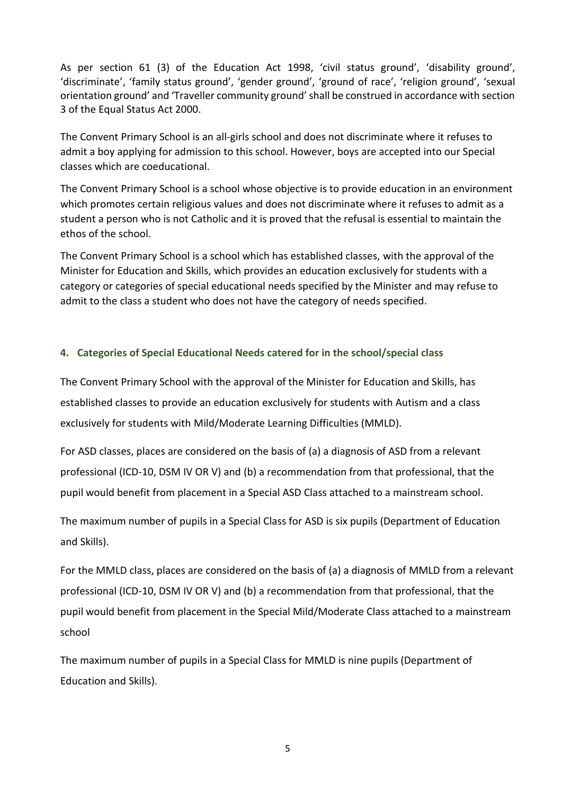As per section 61 (3) of the Education Act 1998, 'civil status ground', 'disability ground', 'discriminate', 'family status ground', 'gender ground', 'ground of race', 'religion ground', 'sexual orientation ground' and 'Traveller community ground' shall be construed in accordance with section 3 of the Equal Status Act 2000.

The Convent Primary School is an all-girls school and does not discriminate where it refuses to admit a boy applying for admission to this school. However, boys are accepted into our Special classes which are coeducational.

The Convent Primary School is a school whose objective is to provide education in an environment which promotes certain religious values and does not discriminate where it refuses to admit as a student a person who is not Catholic and it is proved that the refusal is essential to maintain the ethos of the school.

The Convent Primary School is a school which has established classes, with the approval of the Minister for Education and Skills, which provides an education exclusively for students with a category or categories of special educational needs specified by the Minister and may refuse to admit to the class a student who does not have the category of needs specified.

# **4. Categories of Special Educational Needs catered for in the school/special class**

The Convent Primary School with the approval of the Minister for Education and Skills, has established classes to provide an education exclusively for students with Autism and a class exclusively for students with Mild/Moderate Learning Difficulties (MMLD).

For ASD classes, places are considered on the basis of (a) a diagnosis of ASD from a relevant professional (ICD-10, DSM IV OR V) and (b) a recommendation from that professional, that the pupil would benefit from placement in a Special ASD Class attached to a mainstream school.

The maximum number of pupils in a Special Class for ASD is six pupils (Department of Education and Skills).

For the MMLD class, places are considered on the basis of (a) a diagnosis of MMLD from a relevant professional (ICD-10, DSM IV OR V) and (b) a recommendation from that professional, that the pupil would benefit from placement in the Special Mild/Moderate Class attached to a mainstream school

The maximum number of pupils in a Special Class for MMLD is nine pupils (Department of Education and Skills).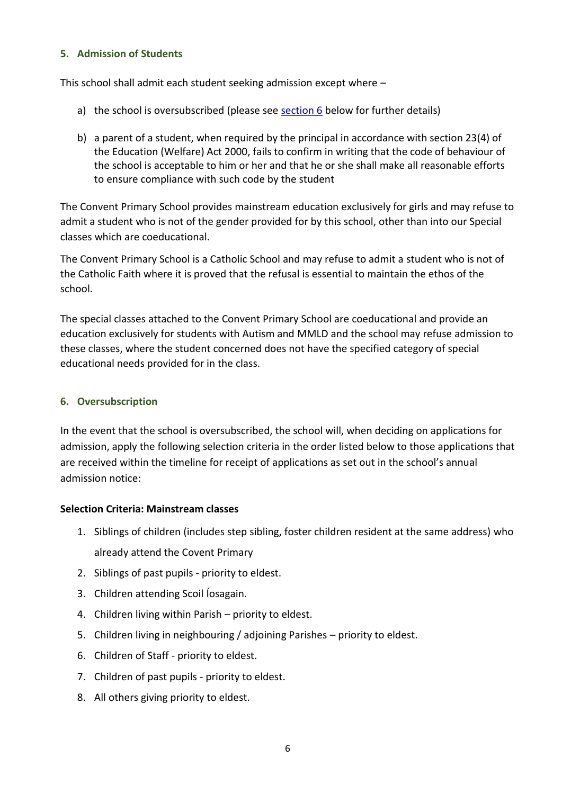## **5. Admission of Students**

This school shall admit each student seeking admission except where –

- a) the school is oversubscribed (please see [section 6](#page-5-0) below for further details)
- b) a parent of a student, when required by the principal in accordance with section 23(4) of the Education (Welfare) Act 2000, fails to confirm in writing that the code of behaviour of the school is acceptable to him or her and that he or she shall make all reasonable efforts to ensure compliance with such code by the student

The Convent Primary School provides mainstream education exclusively for girls and may refuse to admit a student who is not of the gender provided for by this school, other than into our Special classes which are coeducational.

The Convent Primary School is a Catholic School and may refuse to admit a student who is not of the Catholic Faith where it is proved that the refusal is essential to maintain the ethos of the school.

The special classes attached to the Convent Primary School are coeducational and provide an education exclusively for students with Autism and MMLD and the school may refuse admission to these classes, where the student concerned does not have the specified category of special educational needs provided for in the class.

## <span id="page-5-0"></span>**6. Oversubscription**

In the event that the school is oversubscribed, the school will, when deciding on applications for admission, apply the following selection criteria in the order listed below to those applications that are received within the timeline for receipt of applications as set out in the school's annual admission notice:

### **Selection Criteria: Mainstream classes**

- 1. Siblings of children (includes step sibling, foster children resident at the same address) who already attend the Covent Primary
- 2. Siblings of past pupils priority to eldest.
- 3. Children attending Scoil Íosagain.
- 4. Children living within Parish priority to eldest.
- 5. Children living in neighbouring / adjoining Parishes priority to eldest.
- 6. Children of Staff priority to eldest.
- 7. Children of past pupils priority to eldest.
- 8. All others giving priority to eldest.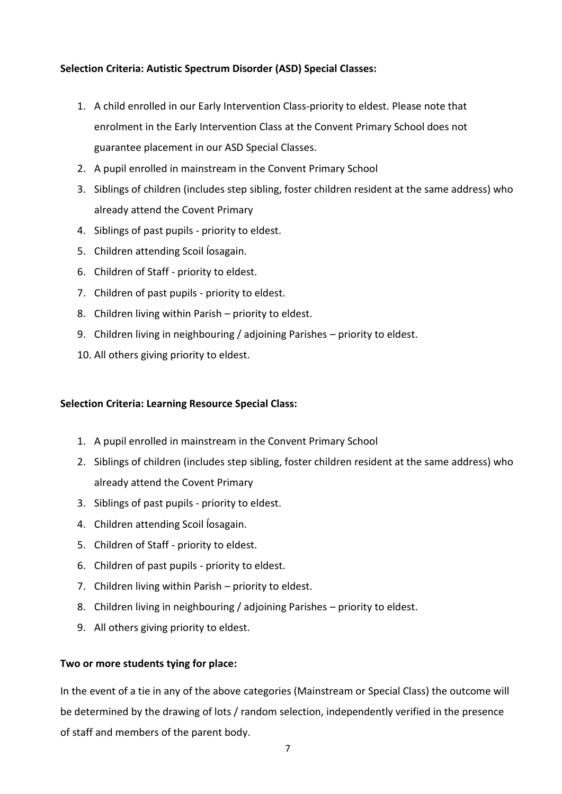# **Selection Criteria: Autistic Spectrum Disorder (ASD) Special Classes:**

- 1. A child enrolled in our Early Intervention Class-priority to eldest. Please note that enrolment in the Early Intervention Class at the Convent Primary School does not guarantee placement in our ASD Special Classes.
- 2. A pupil enrolled in mainstream in the Convent Primary School
- 3. Siblings of children (includes step sibling, foster children resident at the same address) who already attend the Covent Primary
- 4. Siblings of past pupils priority to eldest.
- 5. Children attending Scoil Íosagain.
- 6. Children of Staff priority to eldest.
- 7. Children of past pupils priority to eldest.
- 8. Children living within Parish priority to eldest.
- 9. Children living in neighbouring / adjoining Parishes priority to eldest.
- 10. All others giving priority to eldest.

# **Selection Criteria: Learning Resource Special Class:**

- 1. A pupil enrolled in mainstream in the Convent Primary School
- 2. Siblings of children (includes step sibling, foster children resident at the same address) who already attend the Covent Primary
- 3. Siblings of past pupils priority to eldest.
- 4. Children attending Scoil Íosagain.
- 5. Children of Staff priority to eldest.
- 6. Children of past pupils priority to eldest.
- 7. Children living within Parish priority to eldest.
- 8. Children living in neighbouring / adjoining Parishes priority to eldest.
- 9. All others giving priority to eldest.

# **Two or more students tying for place:**

In the event of a tie in any of the above categories (Mainstream or Special Class) the outcome will be determined by the drawing of lots / random selection, independently verified in the presence of staff and members of the parent body.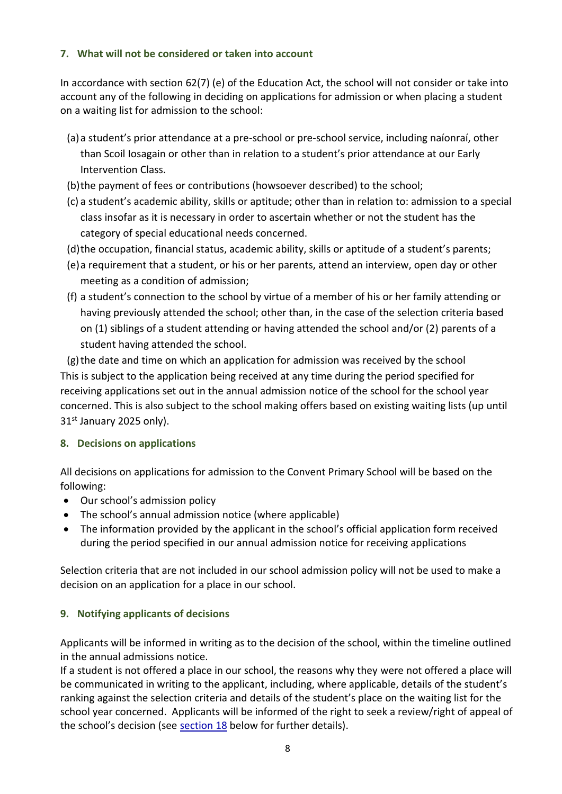# **7. What will not be considered or taken into account**

In accordance with section 62(7) (e) of the Education Act, the school will not consider or take into account any of the following in deciding on applications for admission or when placing a student on a waiting list for admission to the school:

- (a)a student's prior attendance at a pre-school or pre-school service, including naíonraí, other than Scoil Iosagain or other than in relation to a student's prior attendance at our Early Intervention Class.
- (b)the payment of fees or contributions (howsoever described) to the school;
- (c) a student's academic ability, skills or aptitude; other than in relation to: admission to a special class insofar as it is necessary in order to ascertain whether or not the student has the category of special educational needs concerned.
- (d)the occupation, financial status, academic ability, skills or aptitude of a student's parents;
- (e)a requirement that a student, or his or her parents, attend an interview, open day or other meeting as a condition of admission;
- (f) a student's connection to the school by virtue of a member of his or her family attending or having previously attended the school; other than, in the case of the selection criteria based on (1) siblings of a student attending or having attended the school and/or (2) parents of a student having attended the school.

(g)the date and time on which an application for admission was received by the school This is subject to the application being received at any time during the period specified for receiving applications set out in the annual admission notice of the school for the school year concerned. This is also subject to the school making offers based on existing waiting lists (up until  $31<sup>st</sup>$  January 2025 only).

# **8. Decisions on applications**

All decisions on applications for admission to the Convent Primary School will be based on the following:

- Our school's admission policy
- The school's annual admission notice (where applicable)
- The information provided by the applicant in the school's official application form received during the period specified in our annual admission notice for receiving applications

Selection criteria that are not included in our school admission policy will not be used to make a decision on an application for a place in our school.

# **9. Notifying applicants of decisions**

Applicants will be informed in writing as to the decision of the school, within the timeline outlined in the annual admissions notice.

If a student is not offered a place in our school, the reasons why they were not offered a place will be communicated in writing to the applicant, including, where applicable, details of the student's ranking against the selection criteria and details of the student's place on the waiting list for the school year concerned. Applicants will be informed of the right to seek a review/right of appeal of the school's decision (see [section 18](#page-10-0) below for further details).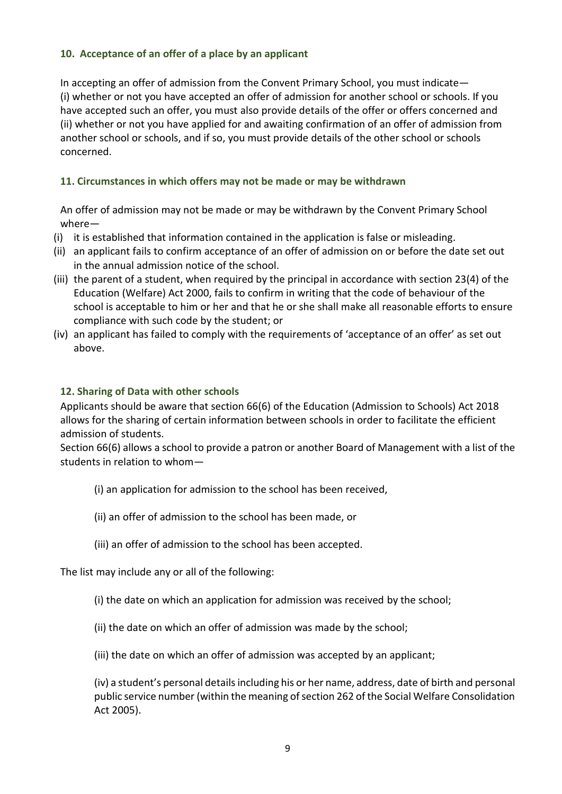# **10. Acceptance of an offer of a place by an applicant**

In accepting an offer of admission from the Convent Primary School, you must indicate— (i) whether or not you have accepted an offer of admission for another school or schools. If you have accepted such an offer, you must also provide details of the offer or offers concerned and (ii) whether or not you have applied for and awaiting confirmation of an offer of admission from another school or schools, and if so, you must provide details of the other school or schools concerned.

## **11. Circumstances in which offers may not be made or may be withdrawn**

An offer of admission may not be made or may be withdrawn by the Convent Primary School where—

- (i) it is established that information contained in the application is false or misleading.
- (ii) an applicant fails to confirm acceptance of an offer of admission on or before the date set out in the annual admission notice of the school.
- (iii) the parent of a student, when required by the principal in accordance with section 23(4) of the Education (Welfare) Act 2000, fails to confirm in writing that the code of behaviour of the school is acceptable to him or her and that he or she shall make all reasonable efforts to ensure compliance with such code by the student; or
- (iv) an applicant has failed to comply with the requirements of 'acceptance of an offer' as set out above.

### **12. Sharing of Data with other schools**

Applicants should be aware that section 66(6) of the Education (Admission to Schools) Act 2018 allows for the sharing of certain information between schools in order to facilitate the efficient admission of students.

Section 66(6) allows a school to provide a patron or another Board of Management with a list of the students in relation to whom—

- (i) an application for admission to the school has been received,
- (ii) an offer of admission to the school has been made, or
- (iii) an offer of admission to the school has been accepted.

The list may include any or all of the following:

- (i) the date on which an application for admission was received by the school;
- (ii) the date on which an offer of admission was made by the school;
- (iii) the date on which an offer of admission was accepted by an applicant;

(iv) a student's personal details including his or her name, address, date of birth and personal public service number (within the meaning of section 262 of the Social Welfare Consolidation Act 2005).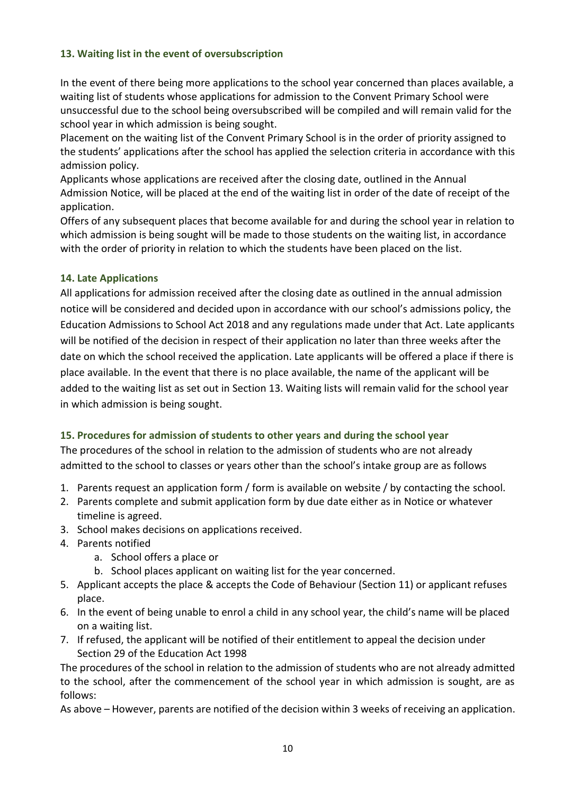# **13. Waiting list in the event of oversubscription**

In the event of there being more applications to the school year concerned than places available, a waiting list of students whose applications for admission to the Convent Primary School were unsuccessful due to the school being oversubscribed will be compiled and will remain valid for the school year in which admission is being sought.

Placement on the waiting list of the Convent Primary School is in the order of priority assigned to the students' applications after the school has applied the selection criteria in accordance with this admission policy.

Applicants whose applications are received after the closing date, outlined in the Annual Admission Notice, will be placed at the end of the waiting list in order of the date of receipt of the application.

Offers of any subsequent places that become available for and during the school year in relation to which admission is being sought will be made to those students on the waiting list, in accordance with the order of priority in relation to which the students have been placed on the list.

# **14. Late Applications**

All applications for admission received after the closing date as outlined in the annual admission notice will be considered and decided upon in accordance with our school's admissions policy, the Education Admissions to School Act 2018 and any regulations made under that Act. Late applicants will be notified of the decision in respect of their application no later than three weeks after the date on which the school received the application. Late applicants will be offered a place if there is place available. In the event that there is no place available, the name of the applicant will be added to the waiting list as set out in Section 13. Waiting lists will remain valid for the school year in which admission is being sought.

# **15. Procedures for admission of students to other years and during the school year**

The procedures of the school in relation to the admission of students who are not already admitted to the school to classes or years other than the school's intake group are as follows

- 1. Parents request an application form / form is available on website / by contacting the school.
- 2. Parents complete and submit application form by due date either as in Notice or whatever timeline is agreed.
- 3. School makes decisions on applications received.
- 4. Parents notified
	- a. School offers a place or
	- b. School places applicant on waiting list for the year concerned.
- 5. Applicant accepts the place & accepts the Code of Behaviour (Section 11) or applicant refuses place.
- 6. In the event of being unable to enrol a child in any school year, the child's name will be placed on a waiting list.
- 7. If refused, the applicant will be notified of their entitlement to appeal the decision under Section 29 of the Education Act 1998

The procedures of the school in relation to the admission of students who are not already admitted to the school, after the commencement of the school year in which admission is sought, are as follows:

As above – However, parents are notified of the decision within 3 weeks of receiving an application.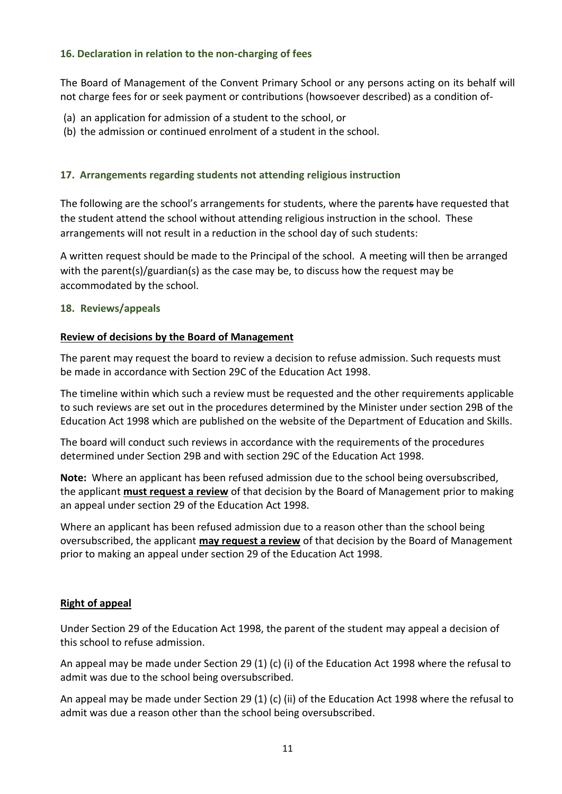## **16. Declaration in relation to the non-charging of fees**

The Board of Management of the Convent Primary School or any persons acting on its behalf will not charge fees for or seek payment or contributions (howsoever described) as a condition of-

- (a) an application for admission of a student to the school, or
- (b) the admission or continued enrolment of a student in the school.

## **17. Arrangements regarding students not attending religious instruction**

The following are the school's arrangements for students, where the parents have requested that the student attend the school without attending religious instruction in the school. These arrangements will not result in a reduction in the school day of such students:

A written request should be made to the Principal of the school. A meeting will then be arranged with the parent(s)/guardian(s) as the case may be, to discuss how the request may be accommodated by the school.

### <span id="page-10-0"></span>**18. Reviews/appeals**

### **Review of decisions by the Board of Management**

The parent may request the board to review a decision to refuse admission. Such requests must be made in accordance with Section 29C of the Education Act 1998.

The timeline within which such a review must be requested and the other requirements applicable to such reviews are set out in the procedures determined by the Minister under section 29B of the Education Act 1998 which are published on the website of the Department of Education and Skills.

The board will conduct such reviews in accordance with the requirements of the procedures determined under Section 29B and with section 29C of the Education Act 1998.

**Note:** Where an applicant has been refused admission due to the school being oversubscribed, the applicant **must request a review** of that decision by the Board of Management prior to making an appeal under section 29 of the Education Act 1998.

Where an applicant has been refused admission due to a reason other than the school being oversubscribed, the applicant **may request a review** of that decision by the Board of Management prior to making an appeal under section 29 of the Education Act 1998.

### **Right of appeal**

Under Section 29 of the Education Act 1998, the parent of the student may appeal a decision of this school to refuse admission.

An appeal may be made under Section 29 (1) (c) (i) of the Education Act 1998 where the refusal to admit was due to the school being oversubscribed.

An appeal may be made under Section 29 (1) (c) (ii) of the Education Act 1998 where the refusal to admit was due a reason other than the school being oversubscribed.